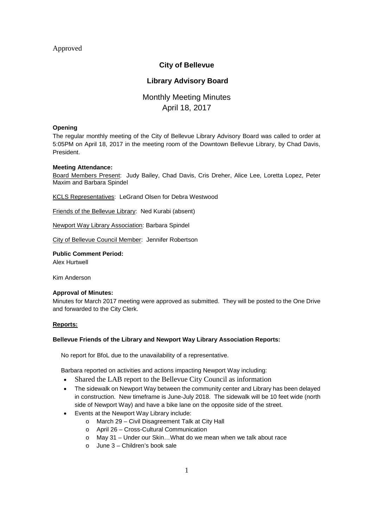# Approved

# **City of Bellevue**

# **Library Advisory Board**

# Monthly Meeting Minutes April 18, 2017

### **Opening**

The regular monthly meeting of the City of Bellevue Library Advisory Board was called to order at 5:05PM on April 18, 2017 in the meeting room of the Downtown Bellevue Library, by Chad Davis, President.

### **Meeting Attendance:**

Board Members Present: Judy Bailey, Chad Davis, Cris Dreher, Alice Lee, Loretta Lopez, Peter Maxim and Barbara Spindel

KCLS Representatives: LeGrand Olsen for Debra Westwood

Friends of the Bellevue Library: Ned Kurabi (absent)

Newport Way Library Association: Barbara Spindel

City of Bellevue Council Member: Jennifer Robertson

#### **Public Comment Period:** Alex Hurtwell

Kim Anderson

### **Approval of Minutes:**

Minutes for March 2017 meeting were approved as submitted. They will be posted to the One Drive and forwarded to the City Clerk.

### **Reports:**

### **Bellevue Friends of the Library and Newport Way Library Association Reports:**

No report for BfoL due to the unavailability of a representative.

Barbara reported on activities and actions impacting Newport Way including:

- Shared the LAB report to the Bellevue City Council as information
- The sidewalk on Newport Way between the community center and Library has been delayed in construction. New timeframe is June-July 2018. The sidewalk will be 10 feet wide (north side of Newport Way) and have a bike lane on the opposite side of the street.
- Events at the Newport Way Library include:
	- o March 29 Civil Disagreement Talk at City Hall
	- o April 26 Cross-Cultural Communication
	- o May 31 Under our Skin…What do we mean when we talk about race
	- o June 3 Children's book sale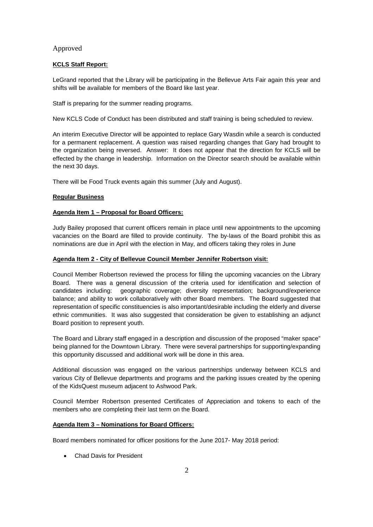# Approved

### **KCLS Staff Report:**

LeGrand reported that the Library will be participating in the Bellevue Arts Fair again this year and shifts will be available for members of the Board like last year.

Staff is preparing for the summer reading programs.

New KCLS Code of Conduct has been distributed and staff training is being scheduled to review.

An interim Executive Director will be appointed to replace Gary Wasdin while a search is conducted for a permanent replacement. A question was raised regarding changes that Gary had brought to the organization being reversed. Answer: It does not appear that the direction for KCLS will be effected by the change in leadership. Information on the Director search should be available within the next 30 days.

There will be Food Truck events again this summer (July and August).

### **Regular Business**

### **Agenda Item 1 – Proposal for Board Officers:**

Judy Bailey proposed that current officers remain in place until new appointments to the upcoming vacancies on the Board are filled to provide continuity. The by-laws of the Board prohibit this as nominations are due in April with the election in May, and officers taking they roles in June

### **Agenda Item 2 - City of Bellevue Council Member Jennifer Robertson visit:**

Council Member Robertson reviewed the process for filling the upcoming vacancies on the Library Board. There was a general discussion of the criteria used for identification and selection of candidates including: geographic coverage; diversity representation; background/experience balance; and ability to work collaboratively with other Board members. The Board suggested that representation of specific constituencies is also important/desirable including the elderly and diverse ethnic communities. It was also suggested that consideration be given to establishing an adjunct Board position to represent youth.

The Board and Library staff engaged in a description and discussion of the proposed "maker space" being planned for the Downtown Library. There were several partnerships for supporting/expanding this opportunity discussed and additional work will be done in this area.

Additional discussion was engaged on the various partnerships underway between KCLS and various City of Bellevue departments and programs and the parking issues created by the opening of the KidsQuest museum adjacent to Ashwood Park.

Council Member Robertson presented Certificates of Appreciation and tokens to each of the members who are completing their last term on the Board.

### **Agenda Item 3 – Nominations for Board Officers:**

Board members nominated for officer positions for the June 2017- May 2018 period:

Chad Davis for President